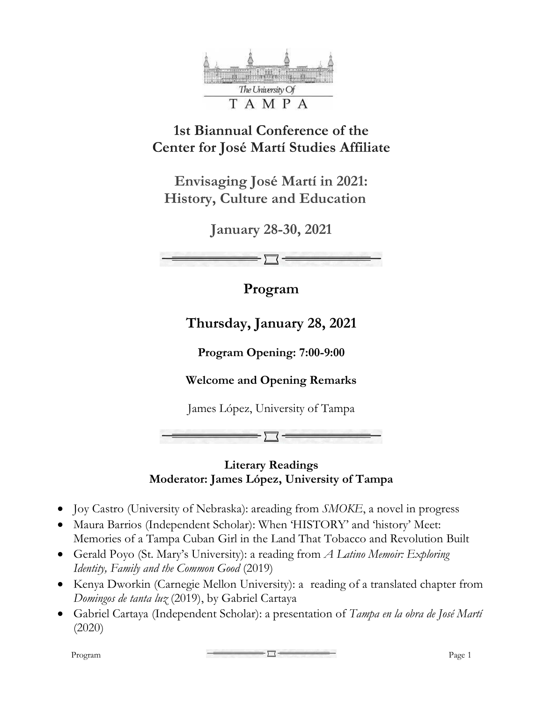

# **1st Biannual Conference of the Center for José Martí Studies Affiliate**

**Envisaging José Martí in 2021: History, Culture and Education** 

**January 28-30, 2021** 

**Program** 

**Thursday, January 28, 2021** 

**Program Opening: 7:00-9:00** 

**Welcome and Opening Remarks** 

James López, University of Tampa

#### **Literary Readings Moderator: James López, University of Tampa**

- Joy Castro (University of Nebraska): areading from *SMOKE*, a novel in progress
- Maura Barrios (Independent Scholar): When 'HISTORY' and 'history' Meet: Memories of a Tampa Cuban Girl in the Land That Tobacco and Revolution Built
- Gerald Poyo (St. Mary's University): a reading from *A Latino Memoir: Exploring Identity, Family and the Common Good* (2019)
- Kenya Dworkin (Carnegie Mellon University): a reading of a translated chapter from *Domingos de tanta luz* (2019), by Gabriel Cartaya
- Gabriel Cartaya (Independent Scholar): a presentation of *Tampa en la obra de José Martí* (2020)

 $P<sub>rogram</sub>$  Program Page 1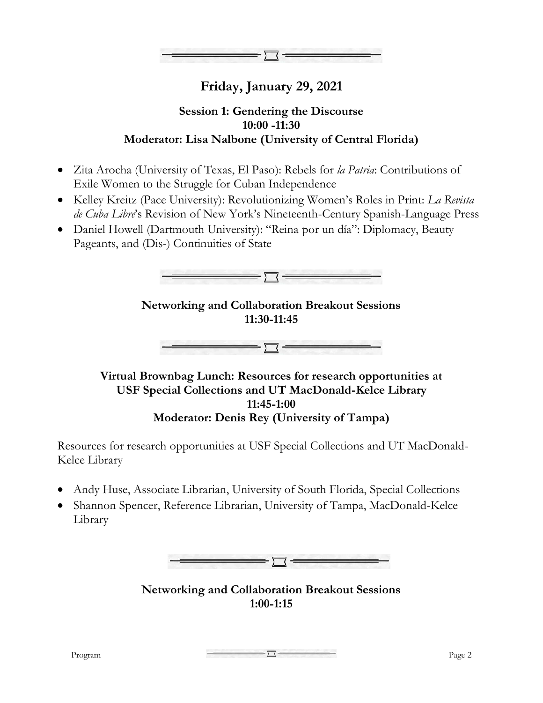

## **Friday, January 29, 2021**

#### **Session 1: Gendering the Discourse 10:00 -11:30 Moderator: Lisa Nalbone (University of Central Florida)**

- Zita Arocha (University of Texas, El Paso): Rebels for *la Patria*: Contributions of Exile Women to the Struggle for Cuban Independence
- Kelley Kreitz (Pace University): Revolutionizing Women's Roles in Print: *La Revista de Cuba Libre*'s Revision of New York's Nineteenth-Century Spanish-Language Press
- Daniel Howell (Dartmouth University): "Reina por un día": Diplomacy, Beauty Pageants, and (Dis-) Continuities of State



### **Networking and Collaboration Breakout Sessions 11:30-11:45**



#### **Virtual Brownbag Lunch: Resources for research opportunities at USF Special Collections and UT MacDonald-Kelce Library 11:45-1:00 Moderator: Denis Rey (University of Tampa)**

Resources for research opportunities at USF Special Collections and UT MacDonald-Kelce Library

- Andy Huse, Associate Librarian, University of South Florida, Special Collections
- Shannon Spencer, Reference Librarian, University of Tampa, MacDonald-Kelce Library



**Networking and Collaboration Breakout Sessions 1:00-1:15**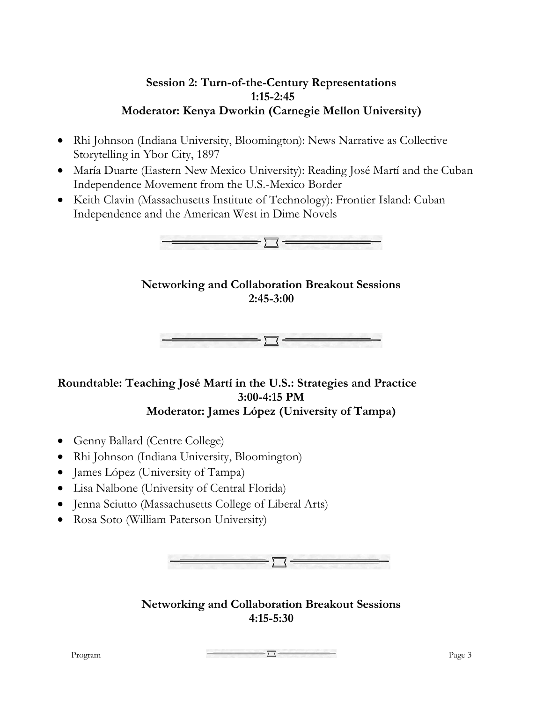#### **Session 2: Turn-of-the-Century Representations 1:15-2:45 Moderator: Kenya Dworkin (Carnegie Mellon University)**

- Rhi Johnson (Indiana University, Bloomington): News Narrative as Collective Storytelling in Ybor City, 1897
- María Duarte (Eastern New Mexico University): Reading José Martí and the Cuban Independence Movement from the U.S.-Mexico Border
- Keith Clavin (Massachusetts Institute of Technology): Frontier Island: Cuban Independence and the American West in Dime Novels



#### **Networking and Collaboration Breakout Sessions 2:45-3:00**



#### **Roundtable: Teaching José Martí in the U.S.: Strategies and Practice 3:00-4:15 PM Moderator: James López (University of Tampa)**

- Genny Ballard (Centre College)
- Rhi Johnson (Indiana University, Bloomington)
- James López (University of Tampa)
- Lisa Nalbone (University of Central Florida)
- Jenna Sciutto (Massachusetts College of Liberal Arts)
- Rosa Soto (William Paterson University)



#### **Networking and Collaboration Breakout Sessions 4:15-5:30**

 $P<sub>1</sub>$   $P<sub>age</sub> 3$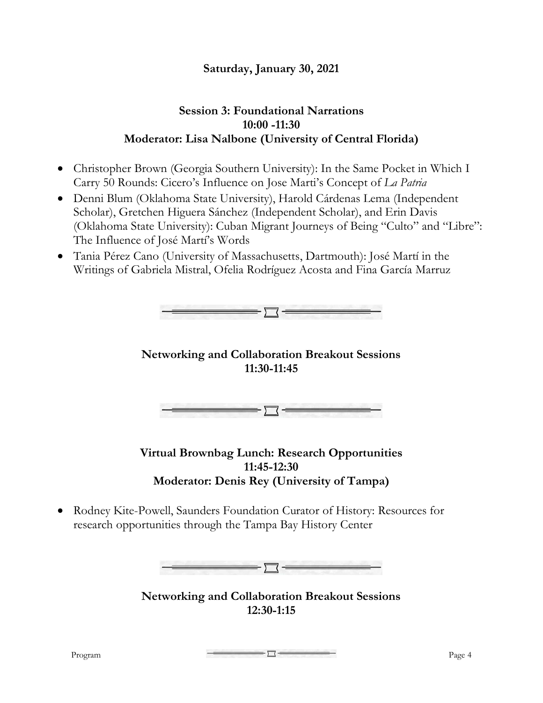### **Saturday, January 30, 2021**

#### **Session 3: Foundational Narrations 10:00 -11:30 Moderator: Lisa Nalbone (University of Central Florida)**

- Christopher Brown (Georgia Southern University): In the Same Pocket in Which I Carry 50 Rounds: Cicero's Influence on Jose Marti's Concept of *La Patria*
- Denni Blum (Oklahoma State University), Harold Cárdenas Lema (Independent Scholar), Gretchen Higuera Sánchez (Independent Scholar), and Erin Davis (Oklahoma State University): Cuban Migrant Journeys of Being "Culto" and "Libre": The Influence of José Martí's Words
- Tania Pérez Cano (University of Massachusetts, Dartmouth): José Martí in the Writings of Gabriela Mistral, Ofelia Rodríguez Acosta and Fina García Marruz



**Virtual Brownbag Lunch: Research Opportunities 11:45-12:30 Moderator: Denis Rey (University of Tampa)** 

• Rodney Kite-Powell, Saunders Foundation Curator of History: Resources for research opportunities through the Tampa Bay History Center

 $\equiv$  ) (

**Networking and Collaboration Breakout Sessions 12:30-1:15** 

 $P<sub>1</sub>$   $P<sub>age</sub> 4$